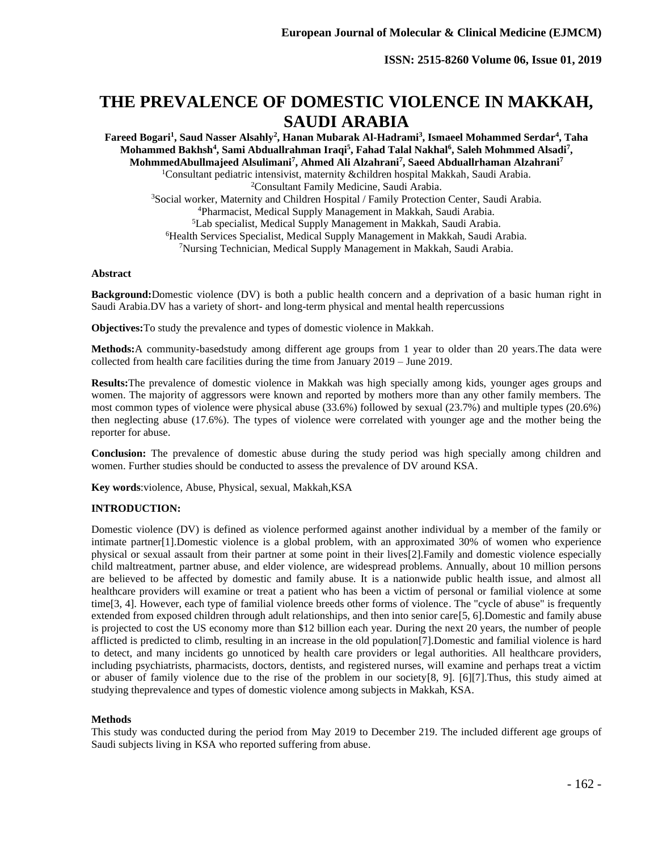# **THE PREVALENCE OF DOMESTIC VIOLENCE IN MAKKAH, SAUDI ARABIA**

**Fareed Bogari<sup>1</sup> , Saud Nasser Alsahly<sup>2</sup> , Hanan Mubarak Al-Hadrami<sup>3</sup> , Ismaeel Mohammed Serdar<sup>4</sup> , Taha Mohammed Bakhsh<sup>4</sup> , Sami Abduallrahman Iraqi<sup>5</sup> , Fahad Talal Nakhal<sup>6</sup> , Saleh Mohmmed Alsadi<sup>7</sup> , MohmmedAbullmajeed Alsulimani<sup>7</sup> , Ahmed Ali Alzahrani<sup>7</sup> , Saeed Abduallrhaman Alzahrani<sup>7</sup>** Consultant pediatric intensivist, maternity &children hospital Makkah, Saudi Arabia. Consultant Family Medicine, Saudi Arabia. Social worker, Maternity and Children Hospital / Family Protection Center, Saudi Arabia. Pharmacist, Medical Supply Management in Makkah, Saudi Arabia. Lab specialist, Medical Supply Management in Makkah, Saudi Arabia. Health Services Specialist, Medical Supply Management in Makkah, Saudi Arabia. Nursing Technician, Medical Supply Management in Makkah, Saudi Arabia.

#### **Abstract**

**Background:**Domestic violence (DV) is both a public health concern and a deprivation of a basic human right in Saudi Arabia.DV has a variety of short- and long-term physical and mental health repercussions

**Objectives:**To study the prevalence and types of domestic violence in Makkah.

**Methods:**A community-basedstudy among different age groups from 1 year to older than 20 years.The data were collected from health care facilities during the time from January 2019 – June 2019.

**Results:**The prevalence of domestic violence in Makkah was high specially among kids, younger ages groups and women. The majority of aggressors were known and reported by mothers more than any other family members. The most common types of violence were physical abuse (33.6%) followed by sexual (23.7%) and multiple types (20.6%) then neglecting abuse (17.6%). The types of violence were correlated with younger age and the mother being the reporter for abuse.

**Conclusion:** The prevalence of domestic abuse during the study period was high specially among children and women. Further studies should be conducted to assess the prevalence of DV around KSA.

**Key words**:violence, Abuse, Physical, sexual, Makkah,KSA

# **INTRODUCTION:**

Domestic violence (DV) is defined as violence performed against another individual by a member of the family or intimate partner[1].Domestic violence is a global problem, with an approximated 30% of women who experience physical or sexual assault from their partner at some point in their lives[2].Family and domestic violence especially child maltreatment, partner abuse, and elder violence, are widespread problems. Annually, about 10 million persons are believed to be affected by domestic and family abuse. It is a nationwide public health issue, and almost all healthcare providers will examine or treat a patient who has been a victim of personal or familial violence at some time[3, 4]. However, each type of familial violence breeds other forms of violence. The "cycle of abuse" is frequently extended from exposed children through adult relationships, and then into senior care[5, 6].Domestic and family abuse is projected to cost the US economy more than \$12 billion each year. During the next 20 years, the number of people afflicted is predicted to climb, resulting in an increase in the old population[7].Domestic and familial violence is hard to detect, and many incidents go unnoticed by health care providers or legal authorities. All healthcare providers, including psychiatrists, pharmacists, doctors, dentists, and registered nurses, will examine and perhaps treat a victim or abuser of family violence due to the rise of the problem in our society[8, 9]. [6][7].Thus, this study aimed at studying theprevalence and types of domestic violence among subjects in Makkah, KSA.

# **Methods**

This study was conducted during the period from May 2019 to December 219. The included different age groups of Saudi subjects living in KSA who reported suffering from abuse.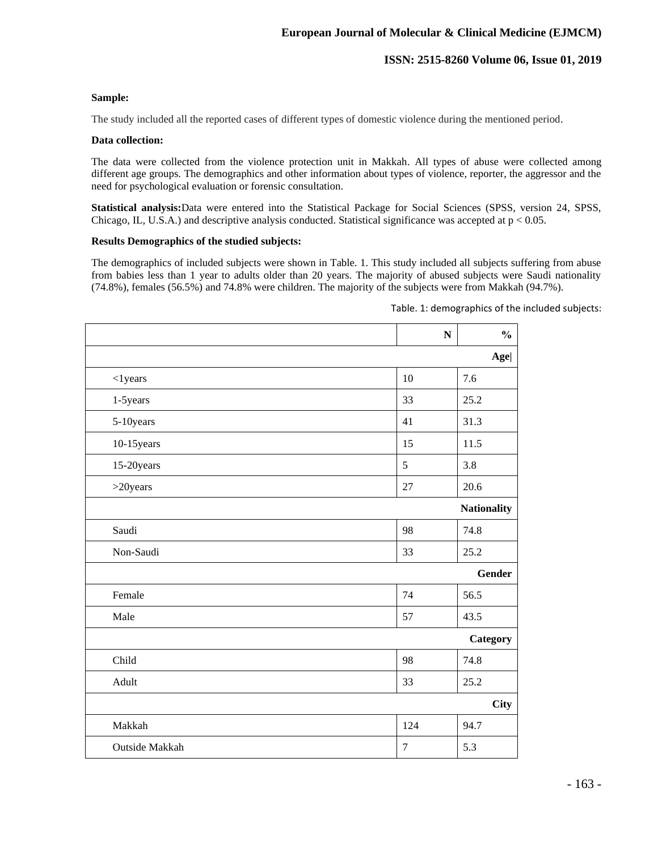# **Sample:**

The study included all the reported cases of different types of domestic violence during the mentioned period.

#### **Data collection:**

The data were collected from the violence protection unit in Makkah. All types of abuse were collected among different age groups. The demographics and other information about types of violence, reporter, the aggressor and the need for psychological evaluation or forensic consultation.

**Statistical analysis:**Data were entered into the Statistical Package for Social Sciences (SPSS, version 24, SPSS, Chicago, IL, U.S.A.) and descriptive analysis conducted. Statistical significance was accepted at  $p < 0.05$ .

### **Results Demographics of the studied subjects:**

The demographics of included subjects were shown in Table. 1. This study included all subjects suffering from abuse from babies less than 1 year to adults older than 20 years. The majority of abused subjects were Saudi nationality (74.8%), females (56.5%) and 74.8% were children. The majority of the subjects were from Makkah (94.7%).

|                |            | N | $\frac{0}{0}$      |
|----------------|------------|---|--------------------|
|                |            |   | Age                |
| $<$ 1 years    | 10         |   | 7.6                |
| 1-5years       | 33         |   | 25.2               |
| 5-10years      | 41         |   | 31.3               |
| 10-15 years    | 15         |   | 11.5               |
| 15-20years     | 5          |   | 3.8                |
| $>20 years$    | 27         |   | 20.6               |
|                |            |   | <b>Nationality</b> |
| Saudi          | 98         |   | 74.8               |
| Non-Saudi      | 33         |   | 25.2               |
|                |            |   | <b>Gender</b>      |
| Female         | 74         |   | 56.5               |
| Male           | 57         |   | 43.5               |
|                |            |   | Category           |
| Child          | 98         |   | 74.8               |
| Adult          | 33         |   | 25.2               |
|                |            |   | <b>City</b>        |
| Makkah         | 124        |   | 94.7               |
| Outside Makkah | $\sqrt{ }$ |   | 5.3                |

Table. 1: demographics of the included subjects: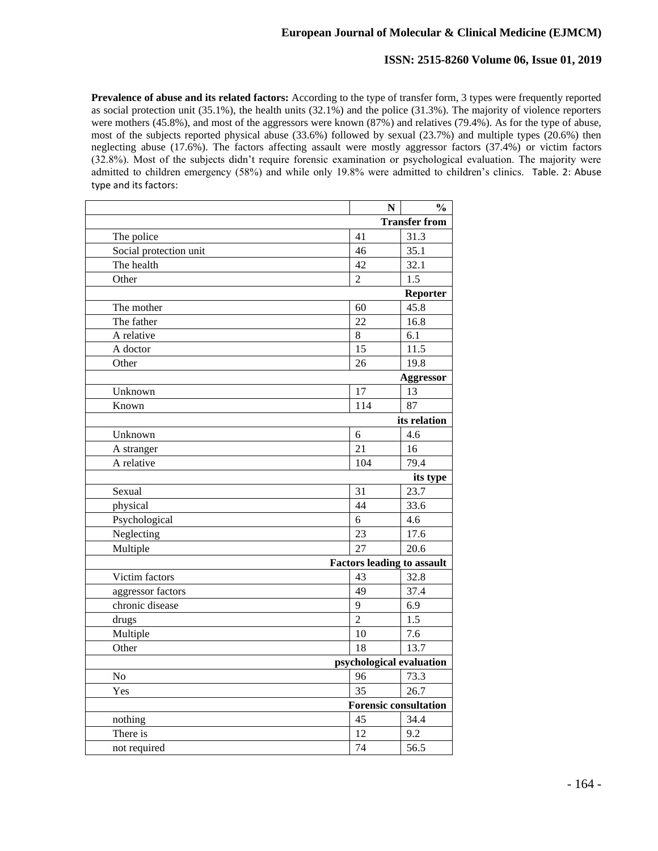# **European Journal of Molecular & Clinical Medicine (EJMCM)**

# **ISSN: 2515-8260 Volume 06, Issue 01, 2019**

**Prevalence of abuse and its related factors:** According to the type of transfer form, 3 types were frequently reported as social protection unit (35.1%), the health units (32.1%) and the police (31.3%). The majority of violence reporters were mothers (45.8%), and most of the aggressors were known (87%) and relatives (79.4%). As for the type of abuse, most of the subjects reported physical abuse (33.6%) followed by sexual (23.7%) and multiple types (20.6%) then neglecting abuse (17.6%). The factors affecting assault were mostly aggressor factors (37.4%) or victim factors (32.8%). Most of the subjects didn't require forensic examination or psychological evaluation. The majority were admitted to children emergency (58%) and while only 19.8% were admitted to children's clinics. Table. 2: Abuse type and its factors:

|                        | N              | $\frac{6}{9}$                     |  |  |
|------------------------|----------------|-----------------------------------|--|--|
|                        |                | <b>Transfer from</b>              |  |  |
| The police             | 41             | 31.3                              |  |  |
| Social protection unit | 46             | 35.1                              |  |  |
| The health             | 42             | 32.1                              |  |  |
| Other                  | $\overline{2}$ | 1.5                               |  |  |
|                        |                | Reporter                          |  |  |
| The mother             | 60             | 45.8                              |  |  |
| The father             | 22             | 16.8                              |  |  |
| A relative             | $\overline{8}$ | 6.1                               |  |  |
| A doctor               | 15             | 11.5                              |  |  |
| Other                  | 26             | 19.8                              |  |  |
|                        |                | <b>Aggressor</b>                  |  |  |
| Unknown                | 17             | 13                                |  |  |
| Known                  | 114            | 87                                |  |  |
|                        |                | its relation                      |  |  |
| Unknown                | 6              | 4.6                               |  |  |
| A stranger             | 21             | 16                                |  |  |
| A relative             | 104            | 79.4                              |  |  |
|                        |                | its type                          |  |  |
| Sexual                 | 31             | 23.7                              |  |  |
| physical               | 44             | 33.6                              |  |  |
| Psychological          | 6              | 4.6                               |  |  |
| Neglecting             | 23             | 17.6                              |  |  |
| Multiple               | 27             | 20.6                              |  |  |
|                        |                | <b>Factors leading to assault</b> |  |  |
| Victim factors         | 43             | 32.8                              |  |  |
| aggressor factors      | 49             | 37.4                              |  |  |
| chronic disease        | 9              | 6.9                               |  |  |
| drugs                  | $\overline{2}$ | 1.5                               |  |  |
| Multiple               | 10             | 7.6                               |  |  |
| Other                  | 18             | 13.7                              |  |  |
|                        |                | psychological evaluation          |  |  |
| No                     | 96             | 73.3                              |  |  |
| Yes                    | 35             | 26.7                              |  |  |
|                        |                | <b>Forensic consultation</b>      |  |  |
| nothing                | 45             | 34.4                              |  |  |
| There is               | 12             | 9.2                               |  |  |
| not required           | 74             | 56.5                              |  |  |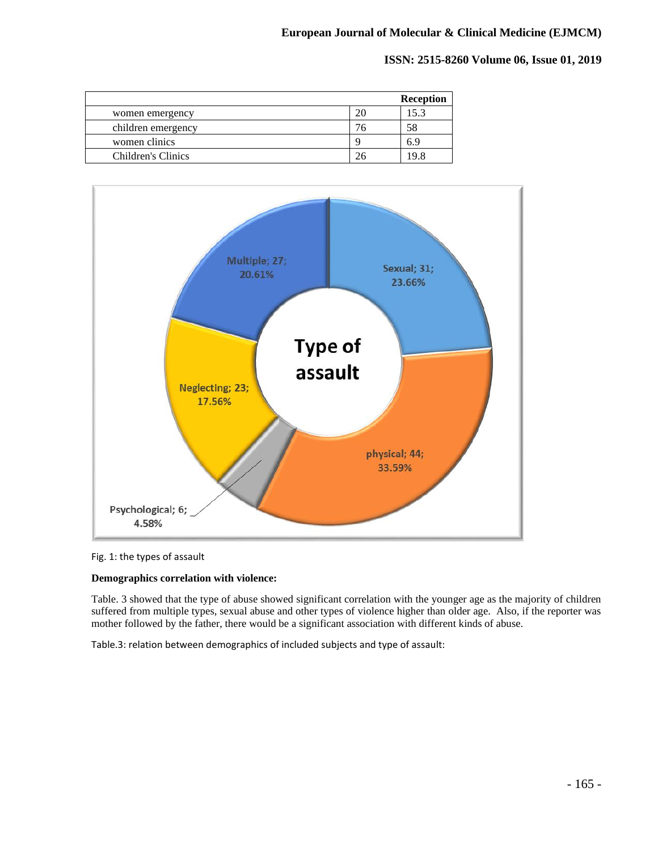|                    |    | <b>Reception</b> |
|--------------------|----|------------------|
| women emergency    | 20 | 15.3             |
| children emergency |    | 58               |
| women clinics      |    |                  |
| Children's Clinics |    |                  |



#### Fig. 1: the types of assault

#### **Demographics correlation with violence:**

Table. 3 showed that the type of abuse showed significant correlation with the younger age as the majority of children suffered from multiple types, sexual abuse and other types of violence higher than older age. Also, if the reporter was mother followed by the father, there would be a significant association with different kinds of abuse.

Table.3: relation between demographics of included subjects and type of assault: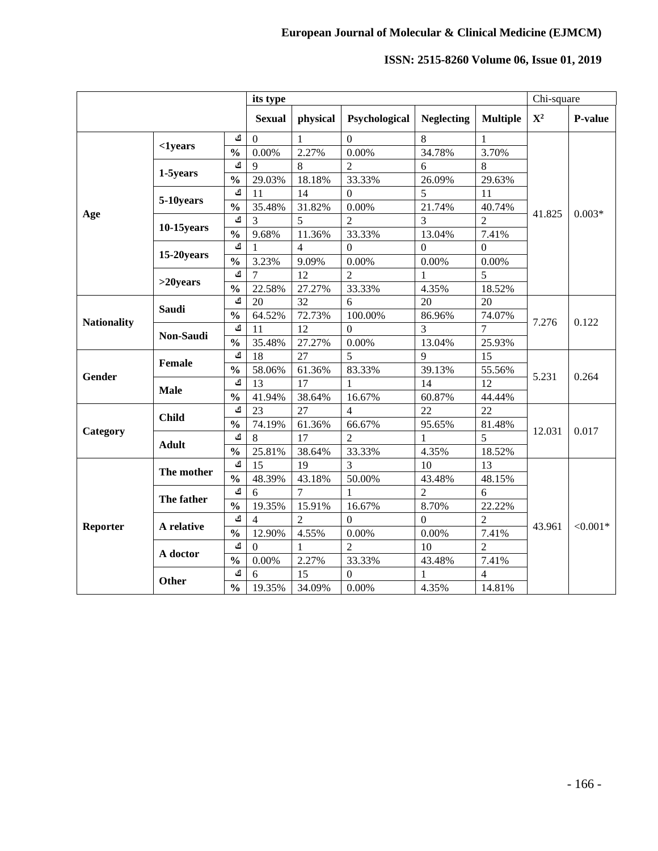|                    |               |               | its type       |                |                  |                   |                 | Chi-square  |            |
|--------------------|---------------|---------------|----------------|----------------|------------------|-------------------|-----------------|-------------|------------|
|                    |               |               | <b>Sexual</b>  | physical       | Psychological    | <b>Neglecting</b> | <b>Multiple</b> | ${\bf X}^2$ | P-value    |
|                    |               | ك             | $\overline{0}$ | $\mathbf{1}$   | $\theta$         | 8                 | 1               | 41.825      | $0.003*$   |
|                    | $1 years$     | $\frac{0}{0}$ | 0.00%          | 2.27%          | 0.00%            | 34.78%            | 3.70%           |             |            |
|                    | 1-5years      | ك             | $\overline{9}$ | 8              | $\overline{2}$   | 6                 | 8               |             |            |
|                    |               | $\frac{0}{0}$ | 29.03%         | 18.18%         | 33.33%           | 26.09%            | 29.63%          |             |            |
|                    | 5-10years     | ك             | 11             | 14             | $\overline{0}$   | 5                 | 11              |             |            |
|                    |               | $\frac{0}{0}$ | 35.48%         | 31.82%         | 0.00%            | 21.74%            | 40.74%          |             |            |
| Age                |               | ك             | $\overline{3}$ | 5              | $\overline{2}$   | 3                 | $\overline{2}$  |             |            |
|                    | $10-15$ years | $\frac{0}{0}$ | 9.68%          | 11.36%         | 33.33%           | 13.04%            | 7.41%           |             |            |
|                    | 15-20years    | ك             | 1              | 4              | $\overline{0}$   | $\overline{0}$    | $\theta$        |             |            |
|                    |               | $\frac{0}{0}$ | 3.23%          | 9.09%          | 0.00%            | 0.00%             | 0.00%           |             |            |
|                    |               | ك             | $\overline{7}$ | 12             | $\overline{2}$   | $\mathbf{1}$      | 5               |             |            |
|                    | $>20$ years   | $\frac{0}{0}$ | 22.58%         | 27.27%         | 33.33%           | 4.35%             | 18.52%          |             |            |
|                    | Saudi         | ك             | 20             | 32             | 6                | 20                | 20              |             | 0.122      |
| <b>Nationality</b> |               | $\frac{0}{0}$ | 64.52%         | 72.73%         | 100.00%          | 86.96%            | 74.07%          | 7.276       |            |
|                    | Non-Saudi     | ك             | 11             | 12             | $\overline{0}$   | 3                 | $\overline{7}$  |             |            |
|                    |               | $\frac{0}{0}$ | 35.48%         | 27.27%         | 0.00%            | 13.04%            | 25.93%          |             |            |
|                    | Female        | ك             | 18             | 27             | 5                | 9                 | 15              | 5.231       | 0.264      |
| Gender             |               | $\frac{0}{0}$ | 58.06%         | 61.36%         | 83.33%           | 39.13%            | 55.56%          |             |            |
|                    | <b>Male</b>   | ك             | 13             | 17             | $\mathbf{1}$     | 14                | 12              |             |            |
|                    |               | $\frac{0}{0}$ | 41.94%         | 38.64%         | 16.67%           | 60.87%            | 44.44%          |             |            |
|                    | <b>Child</b>  | ك             | 23             | 27             | $\overline{4}$   | 22                | 22              | 12.031      | 0.017      |
|                    |               | $\frac{0}{0}$ | 74.19%         | 61.36%         | 66.67%           | 95.65%            | 81.48%          |             |            |
| Category           | <b>Adult</b>  | ك             | 8              | 17             | $\overline{2}$   | $\mathbf{1}$      | 5               |             |            |
|                    |               | $\frac{0}{0}$ | 25.81%         | 38.64%         | 33.33%           | 4.35%             | 18.52%          |             |            |
|                    | The mother    | ك             | 15             | 19             | 3                | 10                | 13              | 43.961      | $< 0.001*$ |
|                    |               | $\frac{0}{0}$ | 48.39%         | 43.18%         | 50.00%           | 43.48%            | 48.15%          |             |            |
|                    | The father    | ك             | 6              | 7              | $\mathbf{1}$     | $\overline{2}$    | 6               |             |            |
|                    |               | $\frac{0}{0}$ | 19.35%         | 15.91%         | 16.67%           | 8.70%             | 22.22%          |             |            |
| Reporter           | A relative    | ك             | $\overline{4}$ | $\overline{2}$ | $\boldsymbol{0}$ | $\boldsymbol{0}$  | $\overline{2}$  |             |            |
|                    |               | $\frac{0}{0}$ | 12.90%         | 4.55%          | 0.00%            | 0.00%             | 7.41%           |             |            |
|                    | A doctor      | ك             | $\overline{0}$ | 1              | $\overline{2}$   | 10                | $\overline{2}$  |             |            |
|                    |               | $\frac{0}{0}$ | 0.00%          | 2.27%          | 33.33%           | 43.48%            | 7.41%           |             |            |
|                    | Other         | ك             | 6              | 15             | $\boldsymbol{0}$ | 1                 | $\overline{4}$  |             |            |
|                    |               | $\frac{0}{0}$ | 19.35%         | 34.09%         | 0.00%            | 4.35%             | 14.81%          |             |            |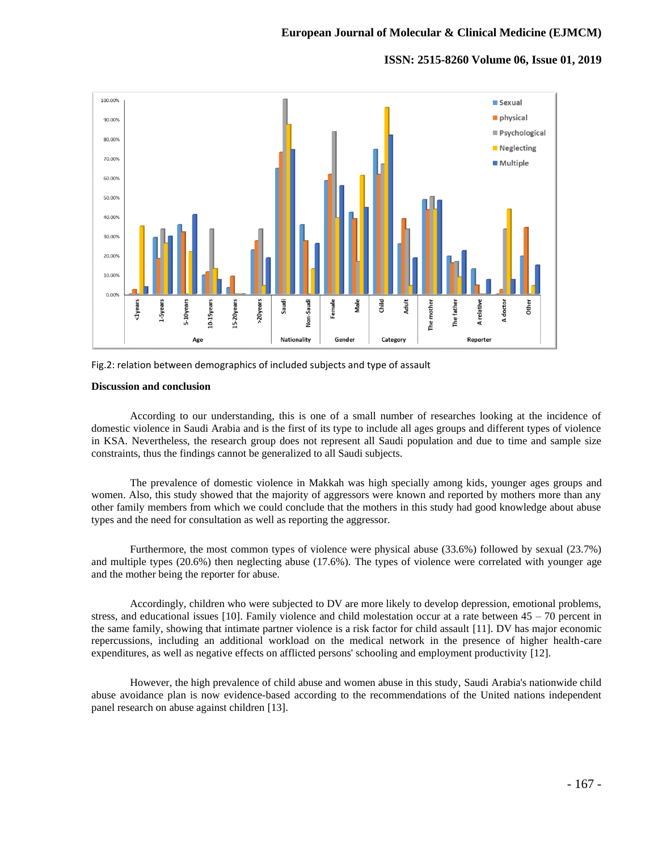



#### **Discussion and conclusion**

According to our understanding, this is one of a small number of researches looking at the incidence of domestic violence in Saudi Arabia and is the first of its type to include all ages groups and different types of violence in KSA. Nevertheless, the research group does not represent all Saudi population and due to time and sample size constraints, thus the findings cannot be generalized to all Saudi subjects.

The prevalence of domestic violence in Makkah was high specially among kids, younger ages groups and women. Also, this study showed that the majority of aggressors were known and reported by mothers more than any other family members from which we could conclude that the mothers in this study had good knowledge about abuse types and the need for consultation as well as reporting the aggressor.

Furthermore, the most common types of violence were physical abuse (33.6%) followed by sexual (23.7%) and multiple types (20.6%) then neglecting abuse (17.6%). The types of violence were correlated with younger age and the mother being the reporter for abuse.

Accordingly, children who were subjected to DV are more likely to develop depression, emotional problems, stress, and educational issues [10]. Family violence and child molestation occur at a rate between  $45 - 70$  percent in the same family, showing that intimate partner violence is a risk factor for child assault [11]. DV has major economic repercussions, including an additional workload on the medical network in the presence of higher health-care expenditures, as well as negative effects on afflicted persons' schooling and employment productivity [12].

However, the high prevalence of child abuse and women abuse in this study, Saudi Arabia's nationwide child abuse avoidance plan is now evidence-based according to the recommendations of the United nations independent panel research on abuse against children [13].